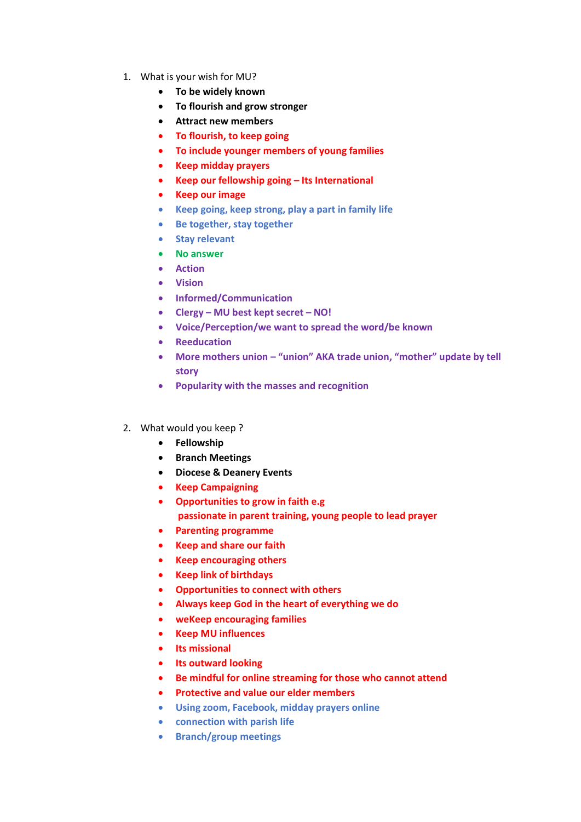- 1. What is your wish for MU?
	- **To be widely known**
	- **To flourish and grow stronger**
	- **Attract new members**
	- **To flourish, to keep going**
	- **To include younger members of young families**
	- **Keep midday prayers**
	- **Keep our fellowship going – Its International**
	- **Keep our image**
	- **Keep going, keep strong, play a part in family life**
	- **Be together, stay together**
	- **Stay relevant**
	- **No answer**
	- **Action**
	- **Vision**
	- **Informed/Communication**
	- **Clergy – MU best kept secret – NO!**
	- **Voice/Perception/we want to spread the word/be known**
	- **Reeducation**
	- **More mothers union – "union" AKA trade union, "mother" update by tell story**
	- **Popularity with the masses and recognition**
- 2. What would you keep ?
	- **Fellowship**
	- **Branch Meetings**
	- **Diocese & Deanery Events**
	- **Keep Campaigning**
	- **Opportunities to grow in faith e.g passionate in parent training, young people to lead prayer**
	- **Parenting programme**
	- **Keep and share our faith**
	- **Keep encouraging others**
	- **Keep link of birthdays**
	- **Opportunities to connect with others**
	- **Always keep God in the heart of everything we do**
	- **weKeep encouraging families**
	- **Keep MU influences**
	- **Its missional**
	- **Its outward looking**
	- **Be mindful for online streaming for those who cannot attend**
	- **Protective and value our elder members**
	- **Using zoom, Facebook, midday prayers online**
	- **connection with parish life**
	- **Branch/group meetings**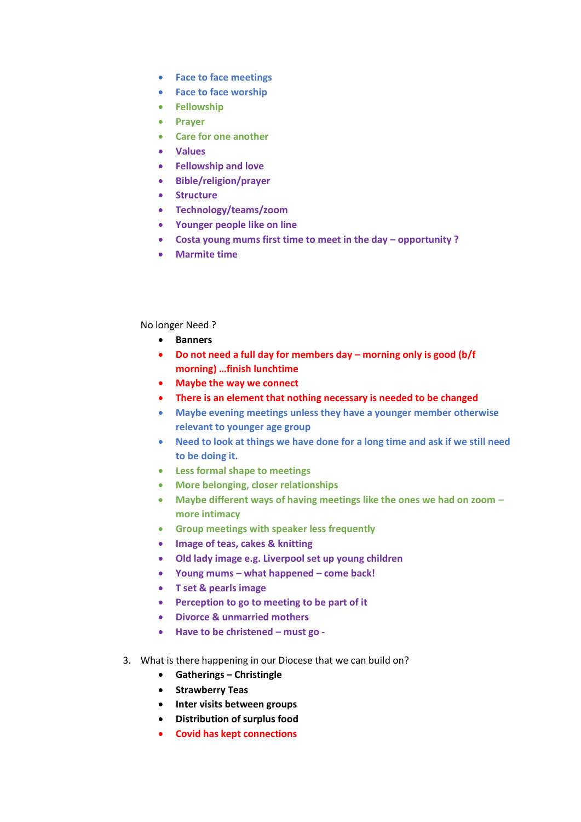- **Face to face meetings**
- **Face to face worship**
- **Fellowship**
- **Prayer**
- **Care for one another**
- **Values**
- **Fellowship and love**
- **Bible/religion/prayer**
- **Structure**
- **Technology/teams/zoom**
- **Younger people like on line**
- **Costa young mums first time to meet in the day – opportunity ?**
- **Marmite time**

## No longer Need ?

- **Banners**
- **Do not need a full day for members day – morning only is good (b/f morning) …finish lunchtime**
- **Maybe the way we connect**
- **There is an element that nothing necessary is needed to be changed**
- **Maybe evening meetings unless they have a younger member otherwise relevant to younger age group**
- **Need to look at things we have done for a long time and ask if we still need to be doing it.**
- **Less formal shape to meetings**
- **More belonging, closer relationships**
- **Maybe different ways of having meetings like the ones we had on zoom – more intimacy**
- **Group meetings with speaker less frequently**
- **Image of teas, cakes & knitting**
- **Old lady image e.g. Liverpool set up young children**
- **Young mums – what happened – come back!**
- **T set & pearls image**
- **Perception to go to meeting to be part of it**
- **Divorce & unmarried mothers**
- **Have to be christened – must go -**
- 3. What is there happening in our Diocese that we can build on?
	- **Gatherings – Christingle**
	- **Strawberry Teas**
	- **Inter visits between groups**
	- **Distribution of surplus food**
	- **Covid has kept connections**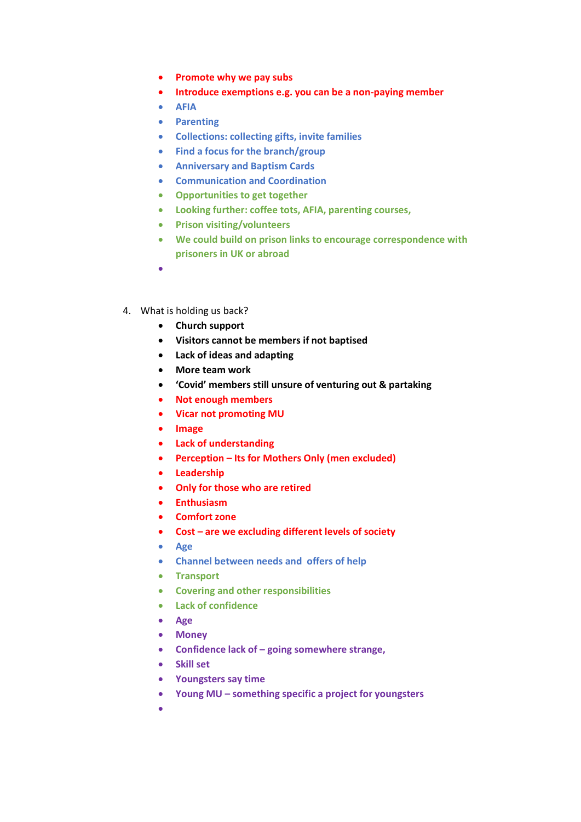- **Promote why we pay subs**
- **Introduce exemptions e.g. you can be a non-paying member**
- **AFIA**
- **Parenting**
- **Collections: collecting gifts, invite families**
- **Find a focus for the branch/group**
- **Anniversary and Baptism Cards**
- **Communication and Coordination**
- **Opportunities to get together**
- **Looking further: coffee tots, AFIA, parenting courses,**
- **Prison visiting/volunteers**
- **We could build on prison links to encourage correspondence with prisoners in UK or abroad**
- •
- 4. What is holding us back?
	- **Church support**
	- **Visitors cannot be members if not baptised**
	- **Lack of ideas and adapting**
	- **More team work**
	- **'Covid' members still unsure of venturing out & partaking**
	- **Not enough members**
	- **Vicar not promoting MU**
	- **Image**
	- **Lack of understanding**
	- **Perception – Its for Mothers Only (men excluded)**
	- **Leadership**
	- **Only for those who are retired**
	- **Enthusiasm**
	- **Comfort zone**
	- **Cost – are we excluding different levels of society**
	- **Age**
	- **Channel between needs and offers of help**
	- **Transport**
	- **Covering and other responsibilities**
	- **Lack of confidence**
	- **Age**
	- **Money**
	- **Confidence lack of – going somewhere strange,**
	- **Skill set**
	- **Youngsters say time**
	- **Young MU – something specific a project for youngsters**
	- •